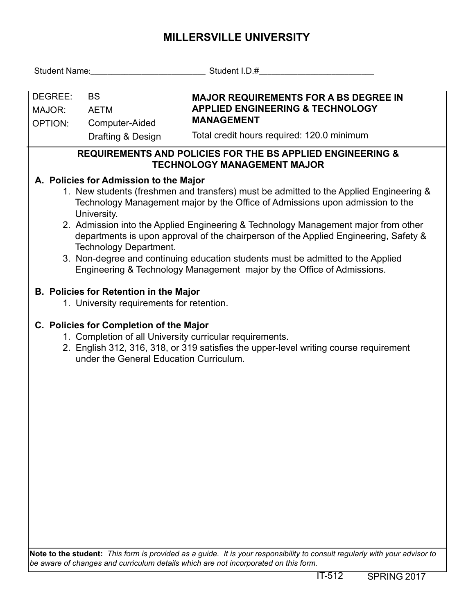## **MILLERSVILLE UNIVERSITY**

| Student Name: Student I.D.#                                                                                                                                                                                                                                                                                                                                                                                                                                                                                                                                                                                  |                                                                                                                                                                |  |  |  |  |  |  |  |  |  |
|--------------------------------------------------------------------------------------------------------------------------------------------------------------------------------------------------------------------------------------------------------------------------------------------------------------------------------------------------------------------------------------------------------------------------------------------------------------------------------------------------------------------------------------------------------------------------------------------------------------|----------------------------------------------------------------------------------------------------------------------------------------------------------------|--|--|--|--|--|--|--|--|--|
| DEGREE:<br><b>BS</b><br>MAJOR:<br><b>AETM</b><br>OPTION:<br>Computer-Aided<br>Drafting & Design                                                                                                                                                                                                                                                                                                                                                                                                                                                                                                              | <b>MAJOR REQUIREMENTS FOR A BS DEGREE IN</b><br><b>APPLIED ENGINEERING &amp; TECHNOLOGY</b><br><b>MANAGEMENT</b><br>Total credit hours required: 120.0 minimum |  |  |  |  |  |  |  |  |  |
| <b>REQUIREMENTS AND POLICIES FOR THE BS APPLIED ENGINEERING &amp;</b><br><b>TECHNOLOGY MANAGEMENT MAJOR</b>                                                                                                                                                                                                                                                                                                                                                                                                                                                                                                  |                                                                                                                                                                |  |  |  |  |  |  |  |  |  |
| A. Policies for Admission to the Major<br>1. New students (freshmen and transfers) must be admitted to the Applied Engineering &<br>Technology Management major by the Office of Admissions upon admission to the<br>University.<br>2. Admission into the Applied Engineering & Technology Management major from other<br>departments is upon approval of the chairperson of the Applied Engineering, Safety &<br><b>Technology Department.</b><br>3. Non-degree and continuing education students must be admitted to the Applied<br>Engineering & Technology Management major by the Office of Admissions. |                                                                                                                                                                |  |  |  |  |  |  |  |  |  |
| <b>B. Policies for Retention in the Major</b><br>1. University requirements for retention.                                                                                                                                                                                                                                                                                                                                                                                                                                                                                                                   |                                                                                                                                                                |  |  |  |  |  |  |  |  |  |
| C. Policies for Completion of the Major<br>1. Completion of all University curricular requirements.<br>2. English 312, 316, 318, or 319 satisfies the upper-level writing course requirement<br>under the General Education Curriculum.                                                                                                                                                                                                                                                                                                                                                                      |                                                                                                                                                                |  |  |  |  |  |  |  |  |  |
|                                                                                                                                                                                                                                                                                                                                                                                                                                                                                                                                                                                                              |                                                                                                                                                                |  |  |  |  |  |  |  |  |  |
|                                                                                                                                                                                                                                                                                                                                                                                                                                                                                                                                                                                                              |                                                                                                                                                                |  |  |  |  |  |  |  |  |  |
|                                                                                                                                                                                                                                                                                                                                                                                                                                                                                                                                                                                                              |                                                                                                                                                                |  |  |  |  |  |  |  |  |  |
|                                                                                                                                                                                                                                                                                                                                                                                                                                                                                                                                                                                                              |                                                                                                                                                                |  |  |  |  |  |  |  |  |  |

**Note to the student:** *This form is provided as a guide. It is your responsibility to consult regularly with your advisor to be aware of changes and curriculum details which are not incorporated on this form.*